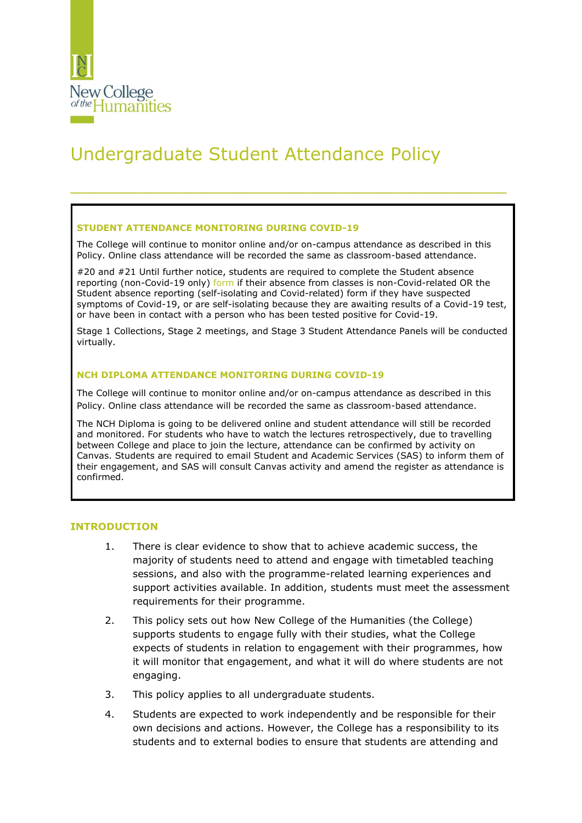

# Undergraduate Student Attendance Policy

#### **STUDENT ATTENDANCE MONITORING DURING COVID-19**

The College will continue to monitor online and/or on-campus attendance as described in this Policy. Online class attendance will be recorded the same as classroom-based attendance.

\_\_\_\_\_\_\_\_\_\_\_\_\_\_\_\_\_\_\_\_\_\_\_\_\_\_\_\_\_\_\_\_\_\_\_\_\_\_\_

#20 and #21 Until further notice, students are required to complete the Student absence reporting (non-Covid-19 only) [form](https://docs.google.com/forms/d/e/1FAIpQLSesl_xKVSqoQbS8JbBRC4xM3SiW3tj1bxtPmbEDyJxiI4MweA/viewform) if their absence from classes is non-Covid-related OR the Student absence reporting (self-isolating and Covid-related) form if they have suspected symptoms of Covid-19, or are self-isolating because they are awaiting results of a Covid-19 test, or have been in contact with a person who has been tested positive for Covid-19.

Stage 1 Collections, Stage 2 meetings, and Stage 3 Student Attendance Panels will be conducted virtually.

#### **NCH DIPLOMA ATTENDANCE MONITORING DURING COVID-19**

The College will continue to monitor online and/or on-campus attendance as described in this Policy. Online class attendance will be recorded the same as classroom-based attendance.

The NCH Diploma is going to be delivered online and student attendance will still be recorded and monitored. For students who have to watch the lectures retrospectively, due to travelling between College and place to join the lecture, attendance can be confirmed by activity on Canvas. Students are required to email Student and Academic Services (SAS) to inform them of their engagement, and SAS will consult Canvas activity and amend the register as attendance is confirmed.

### **INTRODUCTION**

- 1. There is clear evidence to show that to achieve academic success, the majority of students need to attend and engage with timetabled teaching sessions, and also with the programme-related learning experiences and support activities available. In addition, students must meet the assessment requirements for their programme.
- 2. This policy sets out how New College of the Humanities (the College) supports students to engage fully with their studies, what the College expects of students in relation to engagement with their programmes, how it will monitor that engagement, and what it will do where students are not engaging.
- 3. This policy applies to all undergraduate students.
- 4. Students are expected to work independently and be responsible for their own decisions and actions. However, the College has a responsibility to its students and to external bodies to ensure that students are attending and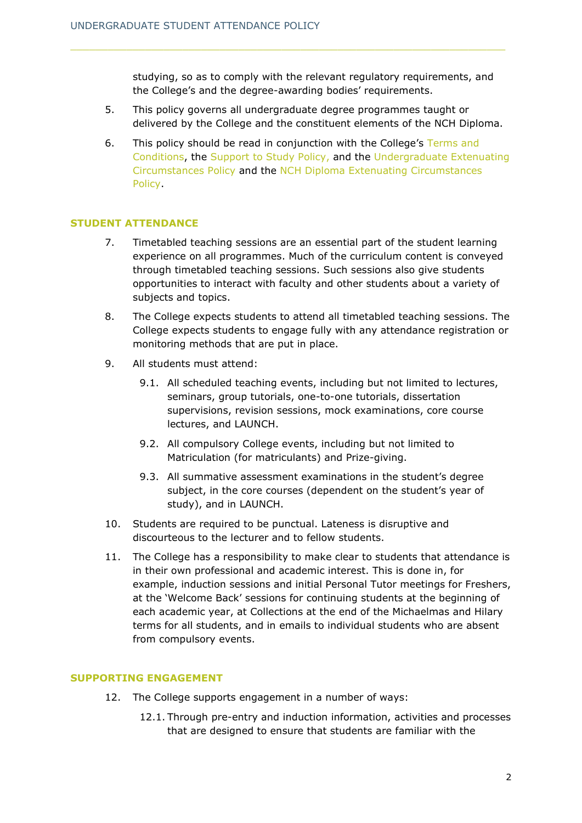studying, so as to comply with the relevant regulatory requirements, and the College's and the degree-awarding bodies' requirements.

- 5. This policy governs all undergraduate degree programmes taught or delivered by the College and the constituent elements of the NCH Diploma.
- 6. This policy should be read in conjunction with the College's [Terms and](https://www.nchlondon.ac.uk/about-us/academic-handbook/nch-policies-and-procedures/nch-admissions/)  [Conditions,](https://www.nchlondon.ac.uk/about-us/academic-handbook/nch-policies-and-procedures/nch-admissions/) the [Support to Study Policy,](https://www.nchlondon.ac.uk/about-us/academic-handbook/nch-policies-and-procedures/nch-general/) and the [Undergraduate Extenuating](https://www.nchlondon.ac.uk/about-us/academic-handbook/nch-policies-and-procedures/nch-undergraduate-degree/)  [Circumstances Policy](https://www.nchlondon.ac.uk/about-us/academic-handbook/nch-policies-and-procedures/nch-undergraduate-degree/) and the [NCH Diploma Extenuating Circumstances](https://www.nchlondon.ac.uk/about-us/academic-handbook/nch-policies-and-procedures/nch-diploma/)  [Policy.](https://www.nchlondon.ac.uk/about-us/academic-handbook/nch-policies-and-procedures/nch-diploma/)

## **STUDENT ATTENDANCE**

- 7. Timetabled teaching sessions are an essential part of the student learning experience on all programmes. Much of the curriculum content is conveyed through timetabled teaching sessions. Such sessions also give students opportunities to interact with faculty and other students about a variety of subjects and topics.
- 8. The College expects students to attend all timetabled teaching sessions. The College expects students to engage fully with any attendance registration or monitoring methods that are put in place.
- 9. All students must attend:
	- 9.1. All scheduled teaching events, including but not limited to lectures, seminars, group tutorials, one-to-one tutorials, dissertation supervisions, revision sessions, mock examinations, core course lectures, and LAUNCH.
	- 9.2. All compulsory College events, including but not limited to Matriculation (for matriculants) and Prize-giving.
	- 9.3. All summative assessment examinations in the student's degree subject, in the core courses (dependent on the student's year of study), and in LAUNCH.
- 10. Students are required to be punctual. Lateness is disruptive and discourteous to the lecturer and to fellow students.
- 11. The College has a responsibility to make clear to students that attendance is in their own professional and academic interest. This is done in, for example, induction sessions and initial Personal Tutor meetings for Freshers, at the 'Welcome Back' sessions for continuing students at the beginning of each academic year, at Collections at the end of the Michaelmas and Hilary terms for all students, and in emails to individual students who are absent from compulsory events.

### **SUPPORTING ENGAGEMENT**

- 12. The College supports engagement in a number of ways:
	- 12.1. Through pre-entry and induction information, activities and processes that are designed to ensure that students are familiar with the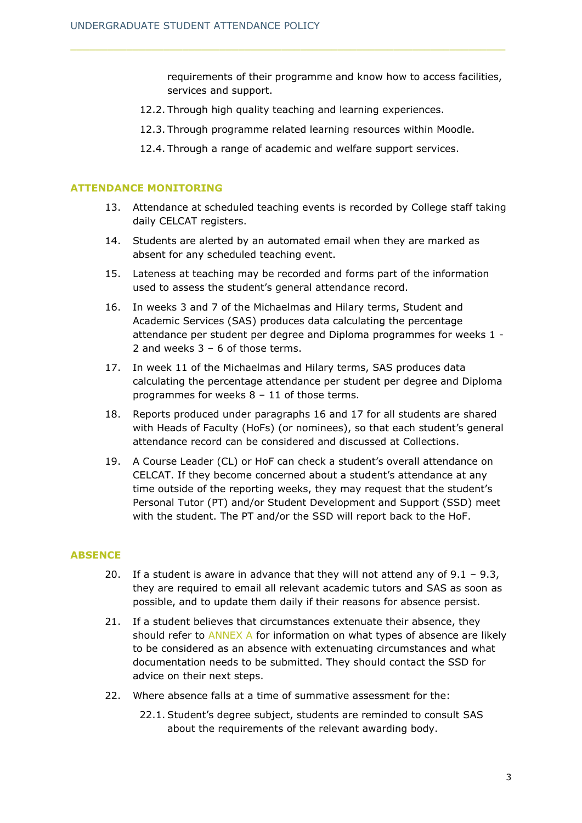requirements of their programme and know how to access facilities, services and support.

- 12.2. Through high quality teaching and learning experiences.
- 12.3. Through programme related learning resources within Moodle.
- 12.4. Through a range of academic and welfare support services.

## **ATTENDANCE MONITORING**

- 13. Attendance at scheduled teaching events is recorded by College staff taking daily CELCAT registers.
- 14. Students are alerted by an automated email when they are marked as absent for any scheduled teaching event.
- 15. Lateness at teaching may be recorded and forms part of the information used to assess the student's general attendance record.
- 16. In weeks 3 and 7 of the Michaelmas and Hilary terms, Student and Academic Services (SAS) produces data calculating the percentage attendance per student per degree and Diploma programmes for weeks 1 - 2 and weeks  $3 - 6$  of those terms.
- 17. In week 11 of the Michaelmas and Hilary terms, SAS produces data calculating the percentage attendance per student per degree and Diploma programmes for weeks 8 – 11 of those terms.
- 18. Reports produced under paragraphs 16 and 17 for all students are shared with Heads of Faculty (HoFs) (or nominees), so that each student's general attendance record can be considered and discussed at Collections.
- 19. A Course Leader (CL) or HoF can check a student's overall attendance on CELCAT. If they become concerned about a student's attendance at any time outside of the reporting weeks, they may request that the student's Personal Tutor (PT) and/or Student Development and Support (SSD) meet with the student. The PT and/or the SSD will report back to the HoF.

### **ABSENCE**

- 20. If a student is aware in advance that they will not attend any of  $9.1 9.3$ , they are required to email all relevant academic tutors and SAS as soon as possible, and to update them daily if their reasons for absence persist.
- 21. If a student believes that circumstances extenuate their absence, they should refer to [ANNEX](#page-9-0) A for information on what types of absence are likely to be considered as an absence with extenuating circumstances and what documentation needs to be submitted. They should contact the SSD for advice on their next steps.
- 22. Where absence falls at a time of summative assessment for the:
	- 22.1. Student's degree subject, students are reminded to consult SAS about the requirements of the relevant awarding body.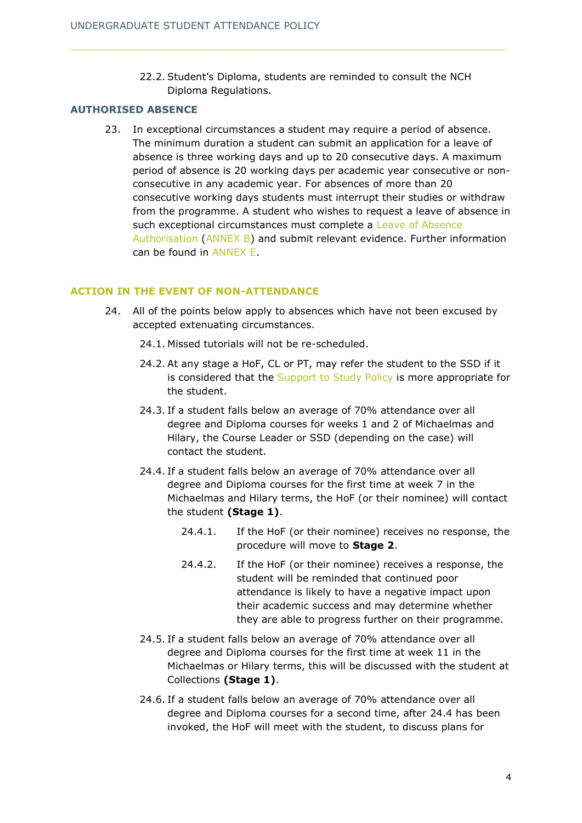22.2. Student's Diploma, students are reminded to consult the NCH Diploma Regulations.

## **AUTHORISED ABSENCE**

23. In exceptional circumstances a student may require a period of absence. The minimum duration a student can submit an application for a leave of absence is three working days and up to 20 consecutive days. A maximum period of absence is 20 working days per academic year consecutive or nonconsecutive in any academic year. For absences of more than 20 consecutive working days students must interrupt their studies or withdraw from the programme. A student who wishes to request a leave of absence in such exceptional circumstances must complete a Leave of Absence [Authorisation](#page-12-0) (ANNEX B) and submit relevant evidence. Further information can be found in [ANNEX E.](#page-17-0)

## **ACTION IN THE EVENT OF NON-ATTENDANCE**

- 24. All of the points below apply to absences which have not been excused by accepted extenuating circumstances.
	- 24.1. Missed tutorials will not be re-scheduled.
	- 24.2. At any stage a HoF, CL or PT, may refer the student to the SSD if it is considered that the [Support to Study Policy](https://www.nchlondon.ac.uk/about-us/academic-handbook/nch-policies-and-procedures/nch-general/) is more appropriate for the student.
	- 24.3. If a student falls below an average of 70% attendance over all degree and Diploma courses for weeks 1 and 2 of Michaelmas and Hilary, the Course Leader or SSD (depending on the case) will contact the student.
	- 24.4. If a student falls below an average of 70% attendance over all degree and Diploma courses for the first time at week 7 in the Michaelmas and Hilary terms, the HoF (or their nominee) will contact the student **(Stage 1)**.
		- 24.4.1. If the HoF (or their nominee) receives no response, the procedure will move to **Stage 2**.
		- 24.4.2. If the HoF (or their nominee) receives a response, the student will be reminded that continued poor attendance is likely to have a negative impact upon their academic success and may determine whether they are able to progress further on their programme.
	- 24.5. If a student falls below an average of 70% attendance over all degree and Diploma courses for the first time at week 11 in the Michaelmas or Hilary terms, this will be discussed with the student at Collections **(Stage 1)**.
	- 24.6. If a student falls below an average of 70% attendance over all degree and Diploma courses for a second time, after 24.4 has been invoked, the HoF will meet with the student, to discuss plans for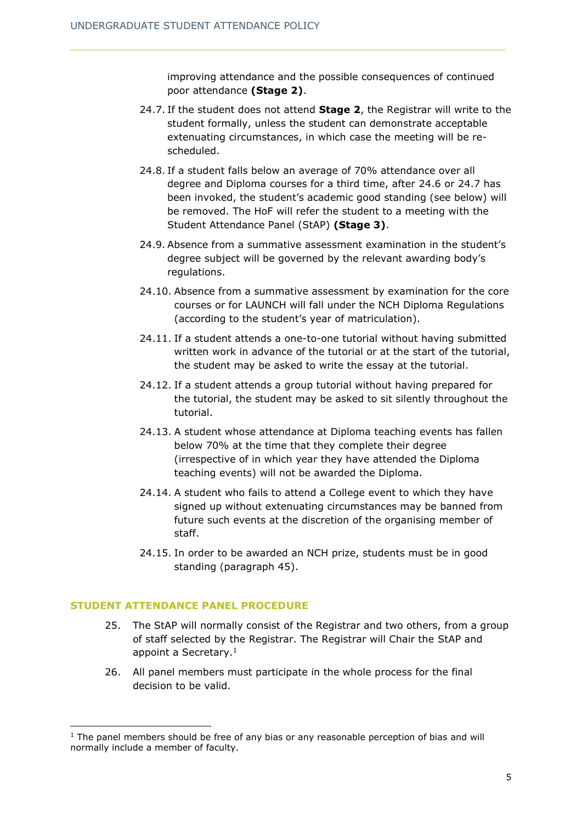improving attendance and the possible consequences of continued poor attendance **(Stage 2)**.

- 24.7. If the student does not attend **Stage 2**, the Registrar will write to the student formally, unless the student can demonstrate acceptable extenuating circumstances, in which case the meeting will be rescheduled.
- 24.8. If a student falls below an average of 70% attendance over all degree and Diploma courses for a third time, after 24.6 or 24.7 has been invoked, the student's academic good standing (see below) will be removed. The HoF will refer the student to a meeting with the Student Attendance Panel (StAP) **(Stage 3)**.
- 24.9. Absence from a summative assessment examination in the student's degree subject will be governed by the relevant awarding body's regulations.
- 24.10. Absence from a summative assessment by examination for the core courses or for LAUNCH will fall under the NCH Diploma Regulations (according to the student's year of matriculation).
- 24.11. If a student attends a one-to-one tutorial without having submitted written work in advance of the tutorial or at the start of the tutorial, the student may be asked to write the essay at the tutorial.
- 24.12. If a student attends a group tutorial without having prepared for the tutorial, the student may be asked to sit silently throughout the tutorial.
- 24.13. A student whose attendance at Diploma teaching events has fallen below 70% at the time that they complete their degree (irrespective of in which year they have attended the Diploma teaching events) will not be awarded the Diploma.
- 24.14. A student who fails to attend a College event to which they have signed up without extenuating circumstances may be banned from future such events at the discretion of the organising member of staff.
- 24.15. In order to be awarded an NCH prize, students must be in good standing (paragraph 45).

## **STUDENT ATTENDANCE PANEL PROCEDURE**

- 25. The StAP will normally consist of the Registrar and two others, from a group of staff selected by the Registrar. The Registrar will Chair the StAP and appoint a Secretary.<sup>1</sup>
- 26. All panel members must participate in the whole process for the final decision to be valid.

 $1$  The panel members should be free of any bias or any reasonable perception of bias and will normally include a member of faculty.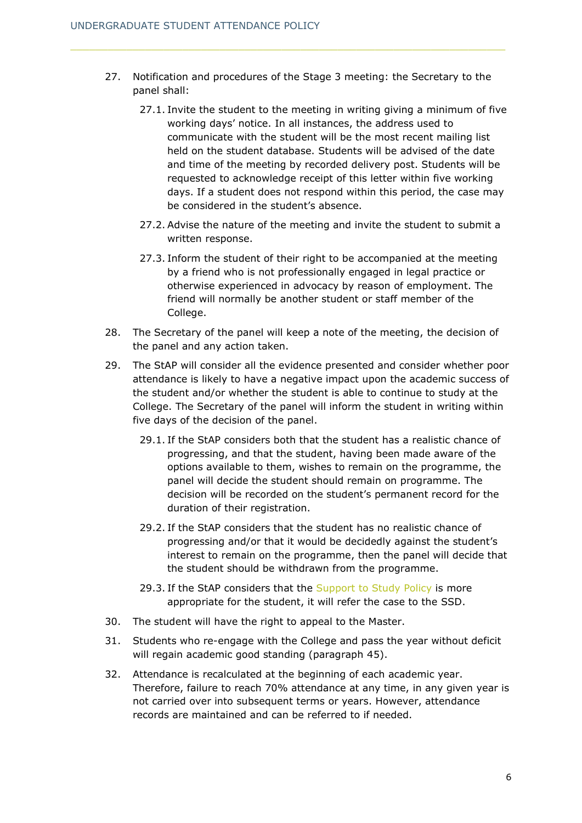- 27. Notification and procedures of the Stage 3 meeting: the Secretary to the panel shall:
	- 27.1. Invite the student to the meeting in writing giving a minimum of five working days' notice. In all instances, the address used to communicate with the student will be the most recent mailing list held on the student database. Students will be advised of the date and time of the meeting by recorded delivery post. Students will be requested to acknowledge receipt of this letter within five working days. If a student does not respond within this period, the case may be considered in the student's absence.
	- 27.2. Advise the nature of the meeting and invite the student to submit a written response.
	- 27.3. Inform the student of their right to be accompanied at the meeting by a friend who is not professionally engaged in legal practice or otherwise experienced in advocacy by reason of employment. The friend will normally be another student or staff member of the College.
- 28. The Secretary of the panel will keep a note of the meeting, the decision of the panel and any action taken.
- 29. The StAP will consider all the evidence presented and consider whether poor attendance is likely to have a negative impact upon the academic success of the student and/or whether the student is able to continue to study at the College. The Secretary of the panel will inform the student in writing within five days of the decision of the panel.
	- 29.1. If the StAP considers both that the student has a realistic chance of progressing, and that the student, having been made aware of the options available to them, wishes to remain on the programme, the panel will decide the student should remain on programme. The decision will be recorded on the student's permanent record for the duration of their registration.
	- 29.2. If the StAP considers that the student has no realistic chance of progressing and/or that it would be decidedly against the student's interest to remain on the programme, then the panel will decide that the student should be withdrawn from the programme.
	- 29.3. If the StAP considers that the [Support to Study Policy](https://www.nchlondon.ac.uk/about-us/academic-handbook/nch-policies-and-procedures/nch-general/) is more appropriate for the student, it will refer the case to the SSD.
- 30. The student will have the right to appeal to the Master.
- 31. Students who re-engage with the College and pass the year without deficit will regain academic good standing (paragraph 45).
- 32. Attendance is recalculated at the beginning of each academic year. Therefore, failure to reach 70% attendance at any time, in any given year is not carried over into subsequent terms or years. However, attendance records are maintained and can be referred to if needed.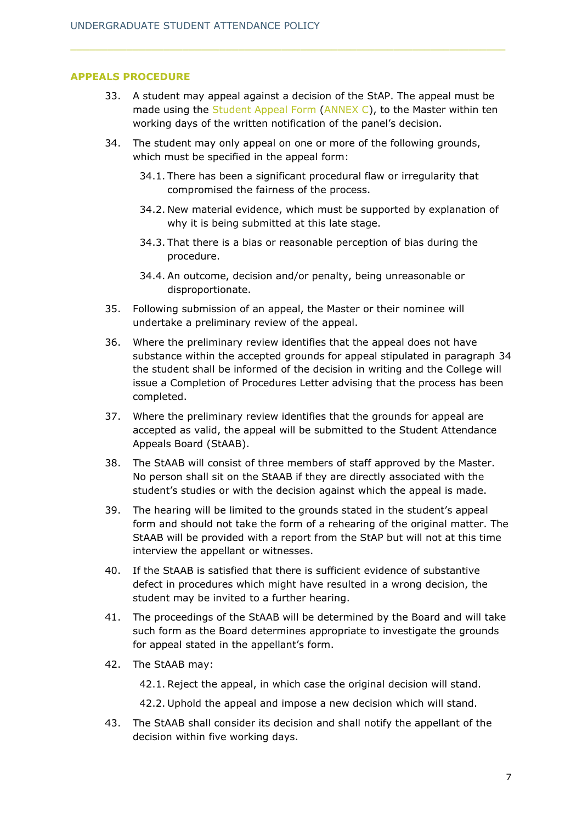## **APPEALS PROCEDURE**

- 33. A student may appeal against a decision of the StAP. The appeal must be made using the [Student Appeal Form](#page-12-0) [\(ANNEX C\)](#page-14-0), to the Master within ten working days of the written notification of the panel's decision.
- 34. The student may only appeal on one or more of the following grounds, which must be specified in the appeal form:
	- 34.1. There has been a significant procedural flaw or irregularity that compromised the fairness of the process.
	- 34.2. New material evidence, which must be supported by explanation of why it is being submitted at this late stage.
	- 34.3. That there is a bias or reasonable perception of bias during the procedure.
	- 34.4. An outcome, decision and/or penalty, being unreasonable or disproportionate.
- 35. Following submission of an appeal, the Master or their nominee will undertake a preliminary review of the appeal.
- 36. Where the preliminary review identifies that the appeal does not have substance within the accepted grounds for appeal stipulated in paragraph 34 the student shall be informed of the decision in writing and the College will issue a Completion of Procedures Letter advising that the process has been completed.
- 37. Where the preliminary review identifies that the grounds for appeal are accepted as valid, the appeal will be submitted to the Student Attendance Appeals Board (StAAB).
- 38. The StAAB will consist of three members of staff approved by the Master. No person shall sit on the StAAB if they are directly associated with the student's studies or with the decision against which the appeal is made.
- 39. The hearing will be limited to the grounds stated in the student's appeal form and should not take the form of a rehearing of the original matter. The StAAB will be provided with a report from the StAP but will not at this time interview the appellant or witnesses.
- 40. If the StAAB is satisfied that there is sufficient evidence of substantive defect in procedures which might have resulted in a wrong decision, the student may be invited to a further hearing.
- 41. The proceedings of the StAAB will be determined by the Board and will take such form as the Board determines appropriate to investigate the grounds for appeal stated in the appellant's form.
- 42. The StAAB may:

42.1. Reject the appeal, in which case the original decision will stand.

- 42.2. Uphold the appeal and impose a new decision which will stand.
- 43. The StAAB shall consider its decision and shall notify the appellant of the decision within five working days.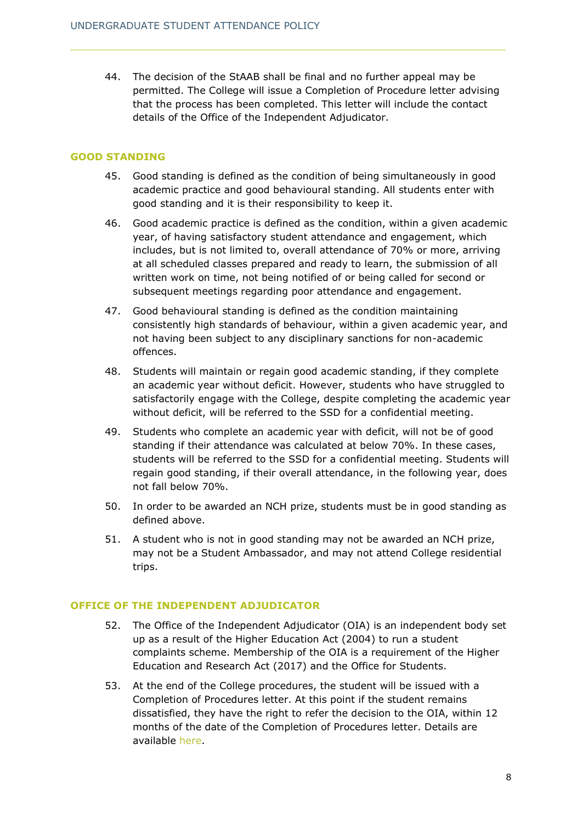44. The decision of the StAAB shall be final and no further appeal may be permitted. The College will issue a Completion of Procedure letter advising that the process has been completed. This letter will include the contact details of the Office of the Independent Adjudicator.

## **GOOD STANDING**

- 45. Good standing is defined as the condition of being simultaneously in good academic practice and good behavioural standing. All students enter with good standing and it is their responsibility to keep it.
- 46. Good academic practice is defined as the condition, within a given academic year, of having satisfactory student attendance and engagement, which includes, but is not limited to, overall attendance of 70% or more, arriving at all scheduled classes prepared and ready to learn, the submission of all written work on time, not being notified of or being called for second or subsequent meetings regarding poor attendance and engagement.
- 47. Good behavioural standing is defined as the condition maintaining consistently high standards of behaviour, within a given academic year, and not having been subject to any disciplinary sanctions for non-academic offences.
- 48. Students will maintain or regain good academic standing, if they complete an academic year without deficit. However, students who have struggled to satisfactorily engage with the College, despite completing the academic year without deficit, will be referred to the SSD for a confidential meeting.
- 49. Students who complete an academic year with deficit, will not be of good standing if their attendance was calculated at below 70%. In these cases, students will be referred to the SSD for a confidential meeting. Students will regain good standing, if their overall attendance, in the following year, does not fall below 70%.
- 50. In order to be awarded an NCH prize, students must be in good standing as defined above.
- 51. A student who is not in good standing may not be awarded an NCH prize, may not be a Student Ambassador, and may not attend College residential trips.

## **OFFICE OF THE INDEPENDENT ADJUDICATOR**

- 52. The Office of the Independent Adjudicator (OIA) is an independent body set up as a result of the Higher Education Act (2004) to run a student complaints scheme. Membership of the OIA is a requirement of the Higher Education and Research Act (2017) and the Office for Students.
- 53. At the end of the College procedures, the student will be issued with a Completion of Procedures letter. At this point if the student remains dissatisfied, they have the right to refer the decision to the OIA, within 12 months of the date of the Completion of Procedures letter. Details are available here.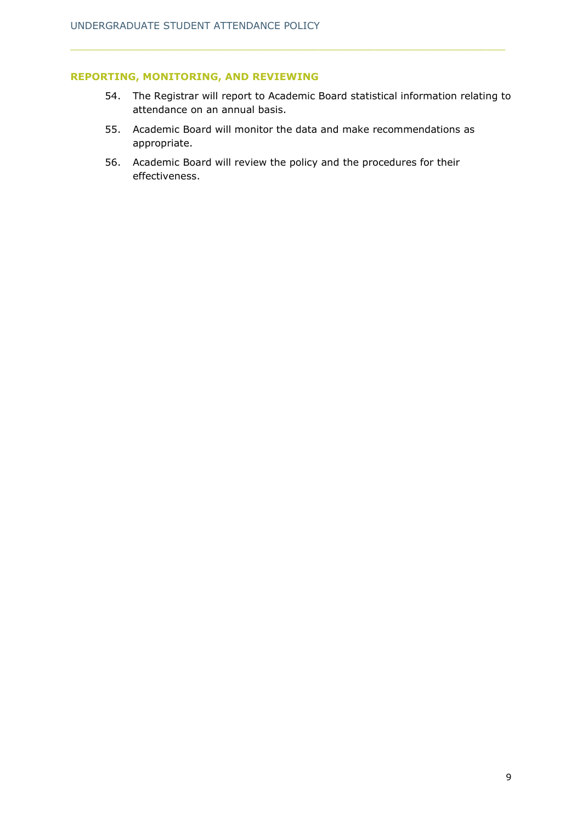## **REPORTING, MONITORING, AND REVIEWING**

- 54. The Registrar will report to Academic Board statistical information relating to attendance on an annual basis.
- 55. Academic Board will monitor the data and make recommendations as appropriate.
- 56. Academic Board will review the policy and the procedures for their effectiveness.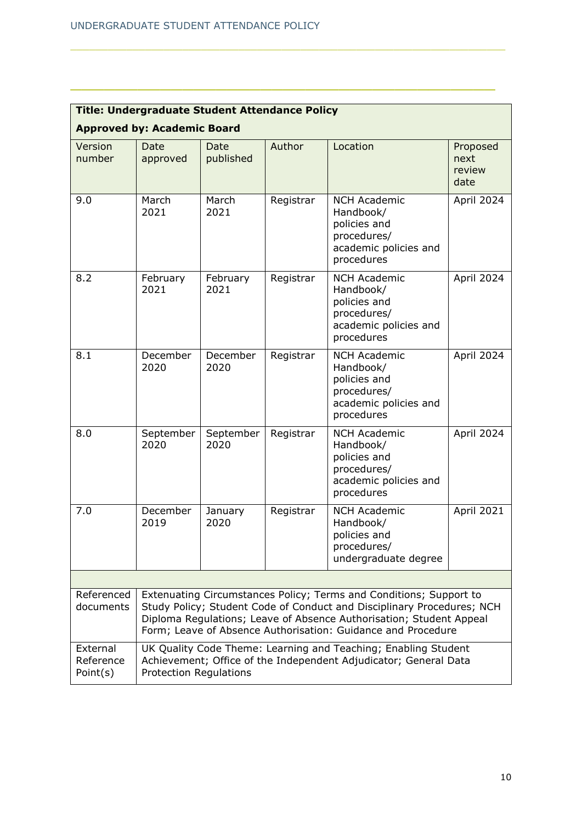<span id="page-9-0"></span>

| <b>Title: Undergraduate Student Attendance Policy</b> |                                                                                                                                                                                                                                                                                     |                   |           |                                                                                                        |                                    |  |  |
|-------------------------------------------------------|-------------------------------------------------------------------------------------------------------------------------------------------------------------------------------------------------------------------------------------------------------------------------------------|-------------------|-----------|--------------------------------------------------------------------------------------------------------|------------------------------------|--|--|
| <b>Approved by: Academic Board</b>                    |                                                                                                                                                                                                                                                                                     |                   |           |                                                                                                        |                                    |  |  |
| Version<br>number                                     | Date<br>approved                                                                                                                                                                                                                                                                    | Date<br>published | Author    | Location                                                                                               | Proposed<br>next<br>review<br>date |  |  |
| 9.0                                                   | March<br>2021                                                                                                                                                                                                                                                                       | March<br>2021     | Registrar | <b>NCH Academic</b><br>Handbook/<br>policies and<br>procedures/<br>academic policies and<br>procedures | April 2024                         |  |  |
| 8.2                                                   | February<br>2021                                                                                                                                                                                                                                                                    | February<br>2021  | Registrar | <b>NCH Academic</b><br>Handbook/<br>policies and<br>procedures/<br>academic policies and<br>procedures | April 2024                         |  |  |
| 8.1                                                   | December<br>2020                                                                                                                                                                                                                                                                    | December<br>2020  | Registrar | <b>NCH Academic</b><br>Handbook/<br>policies and<br>procedures/<br>academic policies and<br>procedures | April 2024                         |  |  |
| 8.0                                                   | September<br>2020                                                                                                                                                                                                                                                                   | September<br>2020 | Registrar | <b>NCH Academic</b><br>Handbook/<br>policies and<br>procedures/<br>academic policies and<br>procedures | April 2024                         |  |  |
| 7.0                                                   | December<br>2019                                                                                                                                                                                                                                                                    | January<br>2020   | Registrar | <b>NCH Academic</b><br>Handbook/<br>policies and<br>procedures/<br>undergraduate degree                | April 2021                         |  |  |
|                                                       |                                                                                                                                                                                                                                                                                     |                   |           |                                                                                                        |                                    |  |  |
| Referenced<br>documents                               | Extenuating Circumstances Policy; Terms and Conditions; Support to<br>Study Policy; Student Code of Conduct and Disciplinary Procedures; NCH<br>Diploma Regulations; Leave of Absence Authorisation; Student Appeal<br>Form; Leave of Absence Authorisation: Guidance and Procedure |                   |           |                                                                                                        |                                    |  |  |
| External<br>Reference<br>Point(s)                     | UK Quality Code Theme: Learning and Teaching; Enabling Student<br>Achievement; Office of the Independent Adjudicator; General Data<br><b>Protection Regulations</b>                                                                                                                 |                   |           |                                                                                                        |                                    |  |  |

\_\_\_\_\_\_\_\_\_\_\_\_\_\_\_\_\_\_\_\_\_\_\_\_\_\_\_\_\_\_\_\_\_\_\_\_\_\_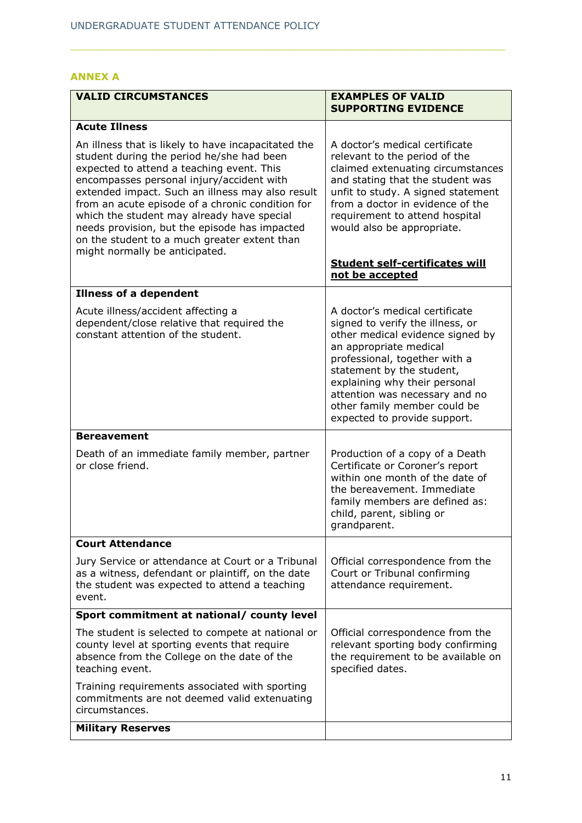## **ANNEX A**

| <b>VALID CIRCUMSTANCES</b>                                                                                                                                                                                                                                                                                                                                                                                                                                                          | <b>EXAMPLES OF VALID</b><br><b>SUPPORTING EVIDENCE</b>                                                                                                                                                                                                                                                                                         |
|-------------------------------------------------------------------------------------------------------------------------------------------------------------------------------------------------------------------------------------------------------------------------------------------------------------------------------------------------------------------------------------------------------------------------------------------------------------------------------------|------------------------------------------------------------------------------------------------------------------------------------------------------------------------------------------------------------------------------------------------------------------------------------------------------------------------------------------------|
| <b>Acute Illness</b>                                                                                                                                                                                                                                                                                                                                                                                                                                                                |                                                                                                                                                                                                                                                                                                                                                |
| An illness that is likely to have incapacitated the<br>student during the period he/she had been<br>expected to attend a teaching event. This<br>encompasses personal injury/accident with<br>extended impact. Such an illness may also result<br>from an acute episode of a chronic condition for<br>which the student may already have special<br>needs provision, but the episode has impacted<br>on the student to a much greater extent than<br>might normally be anticipated. | A doctor's medical certificate<br>relevant to the period of the<br>claimed extenuating circumstances<br>and stating that the student was<br>unfit to study. A signed statement<br>from a doctor in evidence of the<br>requirement to attend hospital<br>would also be appropriate.<br><b>Student self-certificates will</b><br>not be accepted |
| <b>Illness of a dependent</b>                                                                                                                                                                                                                                                                                                                                                                                                                                                       |                                                                                                                                                                                                                                                                                                                                                |
| Acute illness/accident affecting a<br>dependent/close relative that required the<br>constant attention of the student.                                                                                                                                                                                                                                                                                                                                                              | A doctor's medical certificate<br>signed to verify the illness, or<br>other medical evidence signed by<br>an appropriate medical<br>professional, together with a<br>statement by the student,<br>explaining why their personal<br>attention was necessary and no<br>other family member could be<br>expected to provide support.              |
| <b>Bereavement</b>                                                                                                                                                                                                                                                                                                                                                                                                                                                                  |                                                                                                                                                                                                                                                                                                                                                |
| Death of an immediate family member, partner<br>or close friend.                                                                                                                                                                                                                                                                                                                                                                                                                    | Production of a copy of a Death<br>Certificate or Coroner's report<br>within one month of the date of<br>the bereavement. Immediate<br>family members are defined as:<br>child, parent, sibling or<br>grandparent.                                                                                                                             |
| <b>Court Attendance</b>                                                                                                                                                                                                                                                                                                                                                                                                                                                             |                                                                                                                                                                                                                                                                                                                                                |
| Jury Service or attendance at Court or a Tribunal<br>as a witness, defendant or plaintiff, on the date<br>the student was expected to attend a teaching<br>event.                                                                                                                                                                                                                                                                                                                   | Official correspondence from the<br>Court or Tribunal confirming<br>attendance requirement.                                                                                                                                                                                                                                                    |
| Sport commitment at national/ county level                                                                                                                                                                                                                                                                                                                                                                                                                                          |                                                                                                                                                                                                                                                                                                                                                |
| The student is selected to compete at national or<br>county level at sporting events that require<br>absence from the College on the date of the<br>teaching event.                                                                                                                                                                                                                                                                                                                 | Official correspondence from the<br>relevant sporting body confirming<br>the requirement to be available on<br>specified dates.                                                                                                                                                                                                                |
| Training requirements associated with sporting<br>commitments are not deemed valid extenuating<br>circumstances.                                                                                                                                                                                                                                                                                                                                                                    |                                                                                                                                                                                                                                                                                                                                                |
| <b>Military Reserves</b>                                                                                                                                                                                                                                                                                                                                                                                                                                                            |                                                                                                                                                                                                                                                                                                                                                |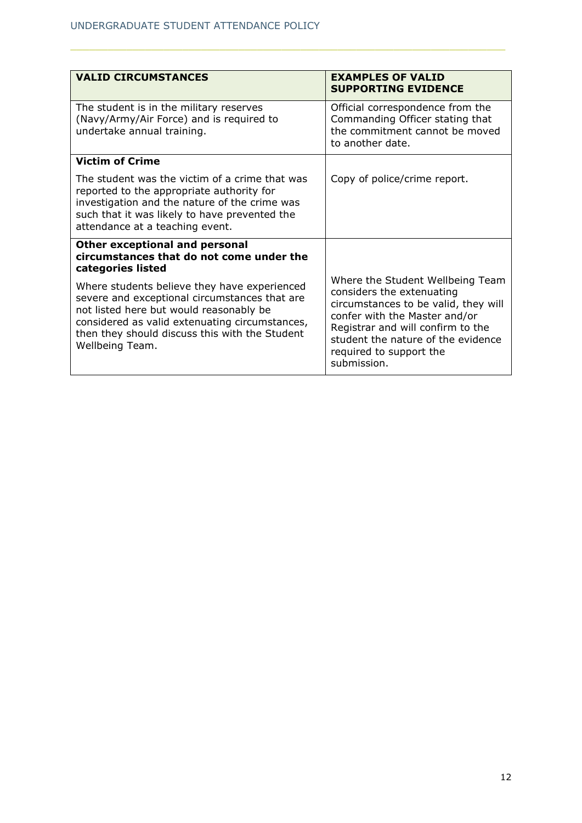| <b>VALID CIRCUMSTANCES</b>                                                                                                                                                                                                                                      | <b>EXAMPLES OF VALID</b><br><b>SUPPORTING EVIDENCE</b>                                                                                                                                                                                                      |
|-----------------------------------------------------------------------------------------------------------------------------------------------------------------------------------------------------------------------------------------------------------------|-------------------------------------------------------------------------------------------------------------------------------------------------------------------------------------------------------------------------------------------------------------|
| The student is in the military reserves<br>(Navy/Army/Air Force) and is required to<br>undertake annual training.                                                                                                                                               | Official correspondence from the<br>Commanding Officer stating that<br>the commitment cannot be moved<br>to another date.                                                                                                                                   |
| <b>Victim of Crime</b>                                                                                                                                                                                                                                          |                                                                                                                                                                                                                                                             |
| The student was the victim of a crime that was<br>reported to the appropriate authority for<br>investigation and the nature of the crime was<br>such that it was likely to have prevented the<br>attendance at a teaching event.                                | Copy of police/crime report.                                                                                                                                                                                                                                |
| Other exceptional and personal<br>circumstances that do not come under the<br>categories listed                                                                                                                                                                 |                                                                                                                                                                                                                                                             |
| Where students believe they have experienced<br>severe and exceptional circumstances that are<br>not listed here but would reasonably be<br>considered as valid extenuating circumstances,<br>then they should discuss this with the Student<br>Wellbeing Team. | Where the Student Wellbeing Team<br>considers the extenuating<br>circumstances to be valid, they will<br>confer with the Master and/or<br>Registrar and will confirm to the<br>student the nature of the evidence<br>required to support the<br>submission. |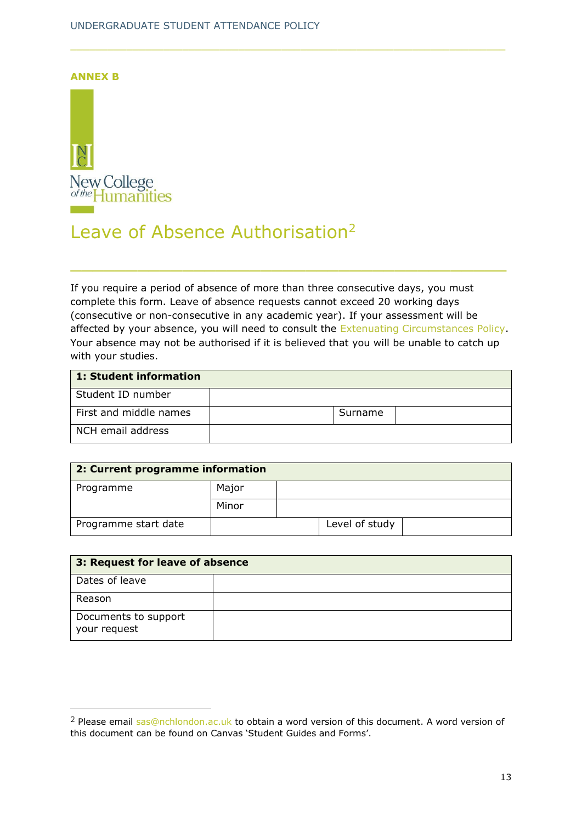<span id="page-12-0"></span>**ANNEX B**



## Leave of Absence Authorisation<sup>2</sup>

If you require a period of absence of more than three consecutive days, you must complete this form. Leave of absence requests cannot exceed 20 working days (consecutive or non-consecutive in any academic year). If your assessment will be affected by your absence, you will need to consult the [Extenuating Circumstances Policy.](mailto:https://www.nchlondon.ac.uk/about-us/academic-handbook/nch-policies-and-procedures/nch-undergraduate-degree/) Your absence may not be authorised if it is believed that you will be unable to catch up with your studies.

\_\_\_\_\_\_\_\_\_\_\_\_\_\_\_\_\_\_\_\_\_\_\_\_\_\_\_\_\_\_\_\_\_\_\_\_\_\_\_

| 1: Student information |         |  |
|------------------------|---------|--|
| Student ID number      |         |  |
| First and middle names | Surname |  |
| NCH email address      |         |  |

| 2: Current programme information |       |  |                |  |
|----------------------------------|-------|--|----------------|--|
| Programme                        | Major |  |                |  |
|                                  | Minor |  |                |  |
| Programme start date             |       |  | Level of study |  |

| 3: Request for leave of absence      |  |  |  |
|--------------------------------------|--|--|--|
| Dates of leave                       |  |  |  |
| Reason                               |  |  |  |
| Documents to support<br>your request |  |  |  |

<sup>&</sup>lt;sup>2</sup> Please email [sas@nchlondon.ac.uk](mailto:sas@nchlondon.ac.uk) to obtain a word version of this document. A word version of this document can be found on Canvas 'Student Guides and Forms'.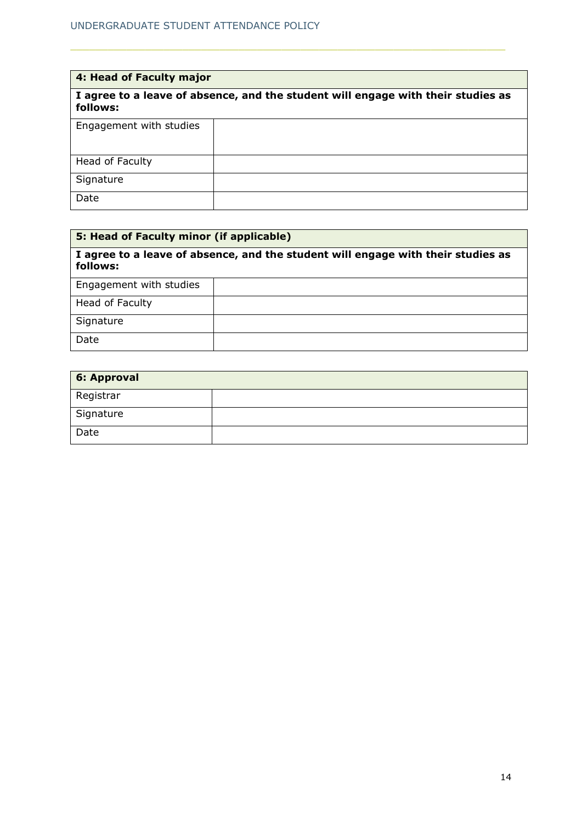| 4: Head of Faculty major                                                                     |  |  |  |  |
|----------------------------------------------------------------------------------------------|--|--|--|--|
| I agree to a leave of absence, and the student will engage with their studies as<br>follows: |  |  |  |  |
| Engagement with studies                                                                      |  |  |  |  |
| Head of Faculty                                                                              |  |  |  |  |
| Signature                                                                                    |  |  |  |  |
| Date                                                                                         |  |  |  |  |

| 5: Head of Faculty minor (if applicable) |                                                                                  |  |  |
|------------------------------------------|----------------------------------------------------------------------------------|--|--|
| follows:                                 | I agree to a leave of absence, and the student will engage with their studies as |  |  |
| Engagement with studies                  |                                                                                  |  |  |
| Head of Faculty                          |                                                                                  |  |  |
| Signature                                |                                                                                  |  |  |
| Date                                     |                                                                                  |  |  |

| 6: Approval |  |
|-------------|--|
| Registrar   |  |
| Signature   |  |
| Date        |  |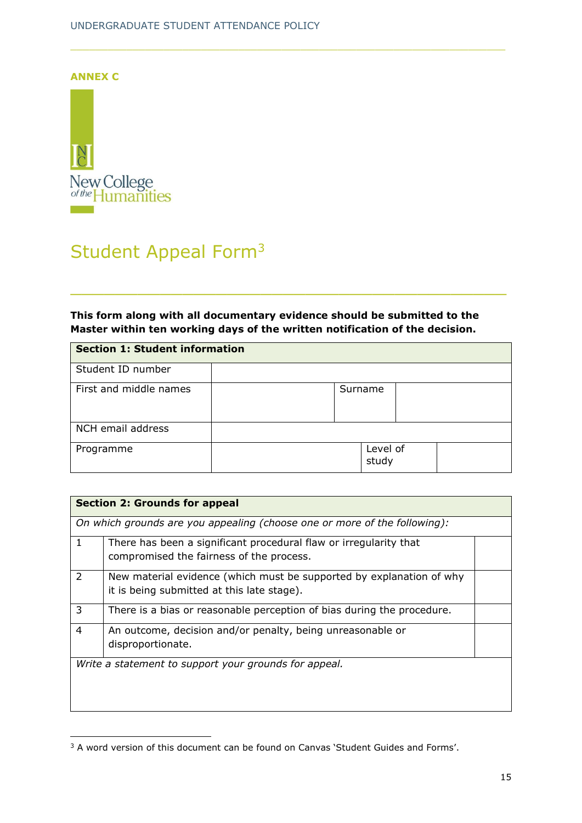<span id="page-14-0"></span>

# Student Appeal Form<sup>3</sup>

## **This form along with all documentary evidence should be submitted to the Master within ten working days of the written notification of the decision.**

\_\_\_\_\_\_\_\_\_\_\_\_\_\_\_\_\_\_\_\_\_\_\_\_\_\_\_\_\_\_\_\_\_\_\_\_\_\_\_

| <b>Section 1: Student information</b> |  |                   |  |
|---------------------------------------|--|-------------------|--|
| Student ID number                     |  |                   |  |
| First and middle names                |  | Surname           |  |
| NCH email address                     |  |                   |  |
| Programme                             |  | Level of<br>study |  |

|              | <b>Section 2: Grounds for appeal</b>                                                                               |  |
|--------------|--------------------------------------------------------------------------------------------------------------------|--|
|              | On which grounds are you appealing (choose one or more of the following):                                          |  |
| $\mathbf{1}$ | There has been a significant procedural flaw or irregularity that<br>compromised the fairness of the process.      |  |
| 2            | New material evidence (which must be supported by explanation of why<br>it is being submitted at this late stage). |  |
| 3            | There is a bias or reasonable perception of bias during the procedure.                                             |  |
| 4            | An outcome, decision and/or penalty, being unreasonable or<br>disproportionate.                                    |  |
|              | Write a statement to support your grounds for appeal.                                                              |  |

<sup>&</sup>lt;sup>3</sup> A word version of this document can be found on Canvas 'Student Guides and Forms'.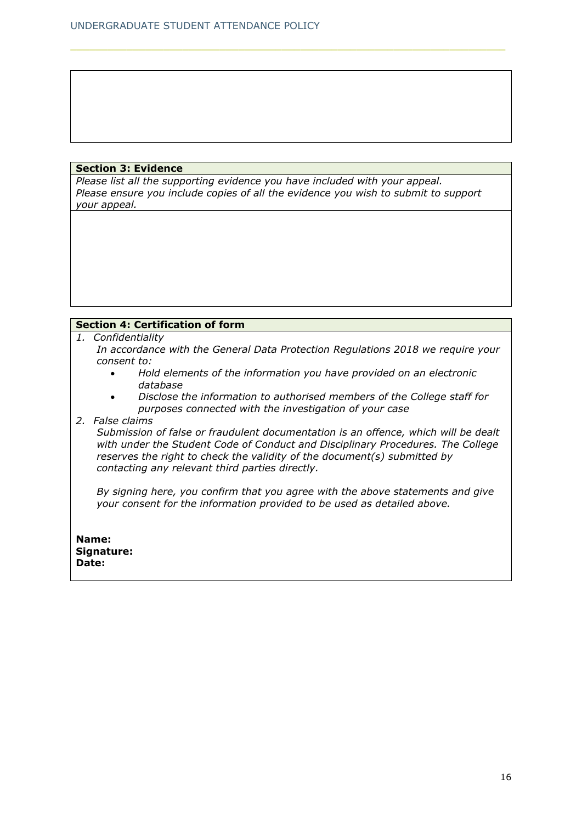## **Section 3: Evidence**

*Please list all the supporting evidence you have included with your appeal. Please ensure you include copies of all the evidence you wish to submit to support your appeal.* 

## **Section 4: Certification of form**

- *1. Confidentiality*
	- *In accordance with the General Data Protection Regulations 2018 we require your consent to:*
		- *Hold elements of the information you have provided on an electronic database*
		- *Disclose the information to authorised members of the College staff for purposes connected with the investigation of your case*
- *2. False claims*

*Submission of false or fraudulent documentation is an offence, which will be dealt with under the Student Code of Conduct and Disciplinary Procedures. The College reserves the right to check the validity of the document(s) submitted by contacting any relevant third parties directly.*

*By signing here, you confirm that you agree with the above statements and give your consent for the information provided to be used as detailed above.*

**Name: Signature: Date:**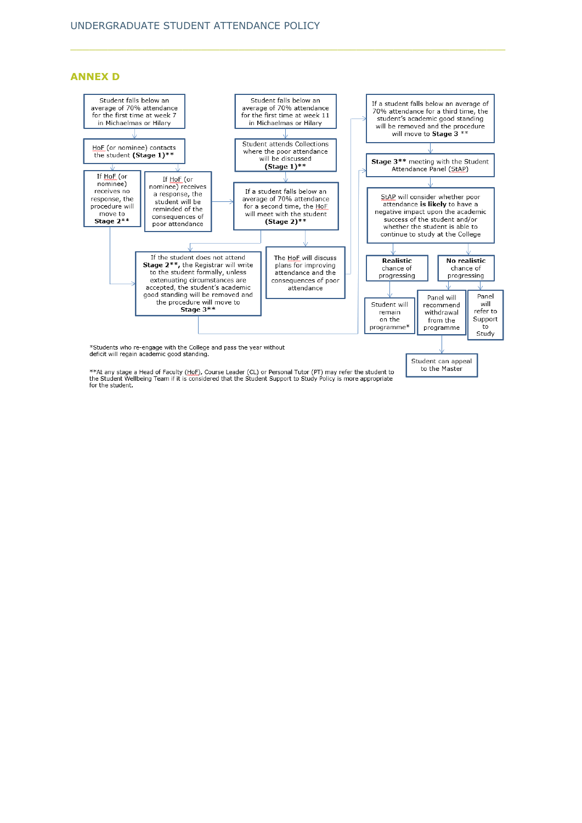**ANNEX D**



to the Master

\*\*At any stage a Head of Faculty (HoF), Course Leader (CL) or Personal Tutor (PT) may refer the student to<br>the Student Wellbeing Team if it is considered that the Student Support to Study Policy is more appropriate<br>for the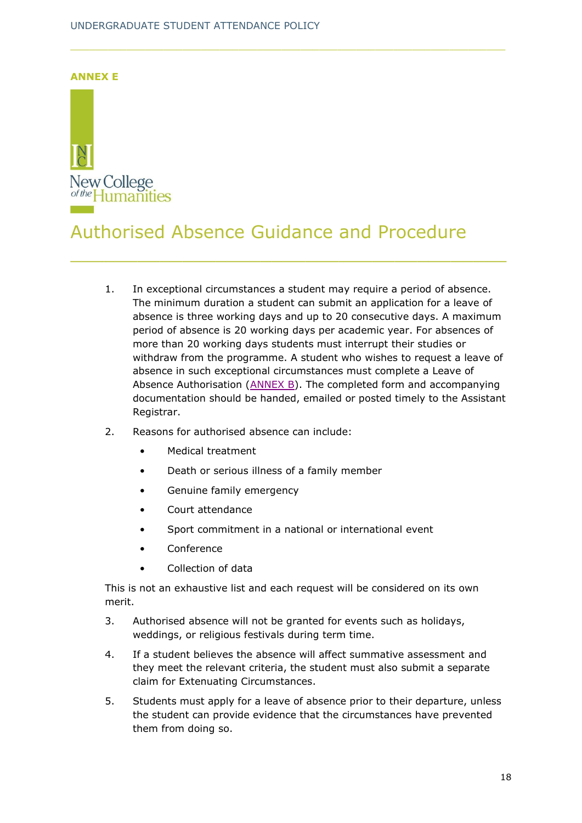<span id="page-17-0"></span>

# Authorised Absence Guidance and Procedure

\_\_\_\_\_\_\_\_\_\_\_\_\_\_\_\_\_\_\_\_\_\_\_\_\_\_\_\_\_\_\_\_\_\_\_\_\_\_\_

- 1. In exceptional circumstances a student may require a period of absence. The minimum duration a student can submit an application for a leave of absence is three working days and up to 20 consecutive days. A maximum period of absence is 20 working days per academic year. For absences of more than 20 working days students must interrupt their studies or withdraw from the programme. A student who wishes to request a leave of absence in such exceptional circumstances must complete a Leave of Absence Authorisation [\(ANNEX B\)](#page-12-0). The completed form and accompanying documentation should be handed, emailed or posted timely to the Assistant Registrar.
- 2. Reasons for authorised absence can include:
	- Medical treatment
	- Death or serious illness of a family member
	- Genuine family emergency
	- Court attendance
	- Sport commitment in a national or international event
	- Conference
	- Collection of data

This is not an exhaustive list and each request will be considered on its own merit.

- 3. Authorised absence will not be granted for events such as holidays, weddings, or religious festivals during term time.
- 4. If a student believes the absence will affect summative assessment and they meet the relevant criteria, the student must also submit a separate claim for Extenuating Circumstances.
- 5. Students must apply for a leave of absence prior to their departure, unless the student can provide evidence that the circumstances have prevented them from doing so.